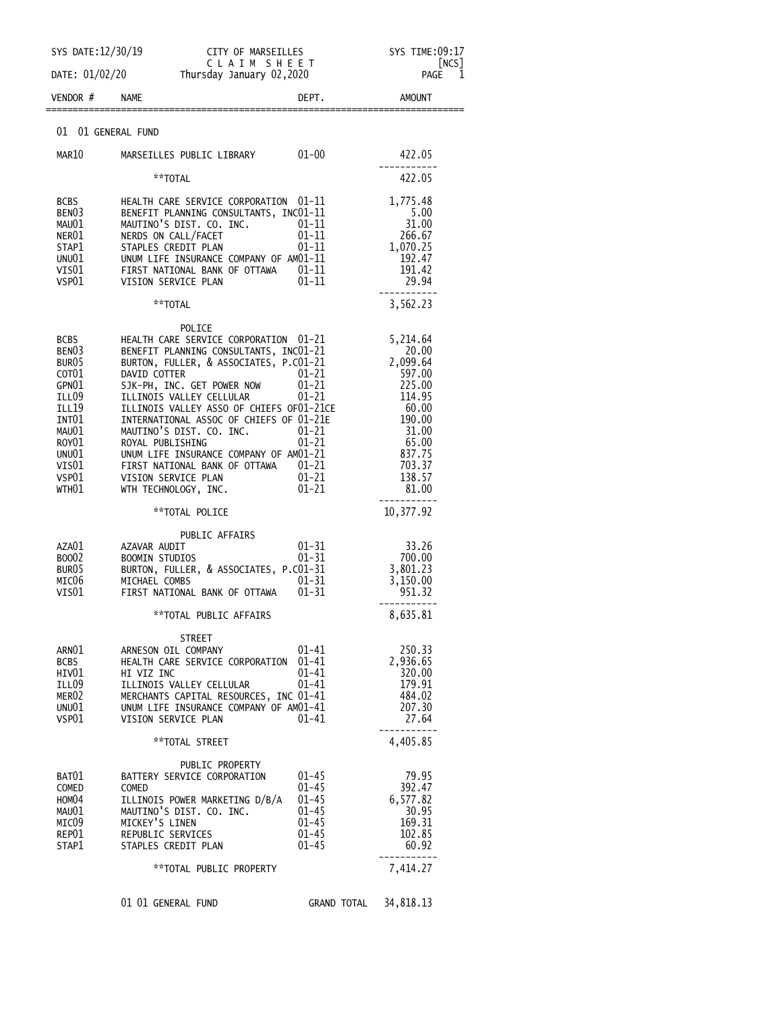| SYS DATE: 12/30/19                                                                                                                                                    | CITY OF MARSEILLES                                                                                                                                                                                                                                                                                                                                                                                                                                                                   |                                                                                         | SYS TIME:09:17<br> NCS                                                                                                                  |
|-----------------------------------------------------------------------------------------------------------------------------------------------------------------------|--------------------------------------------------------------------------------------------------------------------------------------------------------------------------------------------------------------------------------------------------------------------------------------------------------------------------------------------------------------------------------------------------------------------------------------------------------------------------------------|-----------------------------------------------------------------------------------------|-----------------------------------------------------------------------------------------------------------------------------------------|
| DATE: 01/02/20                                                                                                                                                        |                                                                                                                                                                                                                                                                                                                                                                                                                                                                                      | CLAIM SHEET<br>Thursday January 02,2020                                                 |                                                                                                                                         |
| VENDOR #                                                                                                                                                              | <b>NAME</b>                                                                                                                                                                                                                                                                                                                                                                                                                                                                          | DEPT.                                                                                   | <b>AMOUNT</b>                                                                                                                           |
| 01 01 GENERAL FUND                                                                                                                                                    |                                                                                                                                                                                                                                                                                                                                                                                                                                                                                      |                                                                                         |                                                                                                                                         |
| MAR10                                                                                                                                                                 | MARSEILLES PUBLIC LIBRARY                                                                                                                                                                                                                                                                                                                                                                                                                                                            | $01 - 00$                                                                               | 422.05                                                                                                                                  |
|                                                                                                                                                                       | **TOTAL                                                                                                                                                                                                                                                                                                                                                                                                                                                                              |                                                                                         | 422.05                                                                                                                                  |
| <b>BCBS</b><br>BEN03<br>MAU01<br>NER01<br>STAP1<br>UNU01<br>VIS01<br>VSP01                                                                                            | HEALTH CARE SERVICE CORPORATION 01-11<br>BENEFIT PLANNING CONSULTANTS, INC01-11<br>MAUTINO'S DIST. CO. INC.<br>NERDS ON CALL/FACET<br>STAPLES CREDIT PLAN<br>UNUM LIFE INSURANCE COMPANY OF AM01-11<br>FIRST NATIONAL BANK OF OTTAWA 01-11<br>VISION SERVICE PLAN                                                                                                                                                                                                                    | 01-11<br>$01 - 11$<br>$01 - 11$<br>01-11                                                | 1,775.48<br>5.00<br>31.00<br>266.67<br>1,070.25<br>192.47<br>191.42<br>29.94                                                            |
|                                                                                                                                                                       | **TOTAL                                                                                                                                                                                                                                                                                                                                                                                                                                                                              |                                                                                         | 3,562.23                                                                                                                                |
| <b>BCBS</b><br>BEN <sub>03</sub><br>BUR05<br>COT <sub>01</sub><br>GPN01<br>ILL09<br>ILL 19<br>INT01<br>MAU01<br>ROY <sub>01</sub><br>UNU01<br>VIS01<br>VSP01<br>WTH01 | POLICE<br>HEALTH CARE SERVICE CORPORATION 01-21<br>BENEFIT PLANNING CONSULTANTS, INC01-21<br>BURTON, FULLER, & ASSOCIATES, P.CO1-21<br>DAVID COTTER<br>SJK-PH, INC. GET POWER NOW<br>ILLINOIS VALLEY CELLULAR<br>ILLINOIS VALLEY ASSO OF CHIEFS OF01-21CE<br>INTERNATIONAL ASSOC OF CHIEFS OF 01-21E<br>MAUTINO'S DIST. CO. INC.<br>ROYAL PUBLISHING<br>UNUM LIFE INSURANCE COMPANY OF AM01-21<br>FIRST NATIONAL BANK OF OTTAWA 01-21<br>VISION SERVICE PLAN<br>WTH TECHNOLOGY, INC. | $01 - 21$<br>$01 - 21$<br>$01 - 21$<br>$01 - 21$<br>$01 - 21$<br>$01 - 21$<br>$01 - 21$ | 5,214.64<br>20.00<br>2,099.64<br>597.00<br>225.00<br>114.95<br>60.00<br>190.00<br>31.00<br>65.00<br>837.75<br>703.37<br>138.57<br>81.00 |
|                                                                                                                                                                       | **TOTAL POLICE                                                                                                                                                                                                                                                                                                                                                                                                                                                                       |                                                                                         | 10,377.92                                                                                                                               |
| AZA01<br>BOO02<br>BUR05<br>MIC06<br>VIS01                                                                                                                             | PUBLIC AFFAIRS<br>AZAVAR AUDIT<br><b>BOOMIN STUDIOS</b><br>BURTON, FULLER, & ASSOCIATES, P.CO1-31<br>MICHAEL COMBS<br>FIRST NATIONAL BANK OF OTTAWA                                                                                                                                                                                                                                                                                                                                  | 01-31<br>$01 - 31$<br>$01 - 31$<br>$01 - 31$                                            | 33.26<br>700.00<br>3,801.23<br>3,150.00<br>951.32                                                                                       |
|                                                                                                                                                                       | **TOTAL PUBLIC AFFAIRS                                                                                                                                                                                                                                                                                                                                                                                                                                                               |                                                                                         | 8,635.81                                                                                                                                |
| ARN01<br><b>BCBS</b><br>HIV01<br>ILL09<br>MER02<br>UNU01<br>VSP01                                                                                                     | STREET<br>ARNESON OIL COMPANY<br>HEALTH CARE SERVICE CORPORATION<br>HI VIZ INC<br>ILLINOIS VALLEY CELLULAR<br>MERCHANTS CAPITAL RESOURCES, INC 01-41<br>UNUM LIFE INSURANCE COMPANY OF AM01-41<br>VISION SERVICE PLAN                                                                                                                                                                                                                                                                | $01 - 41$<br>01-41<br>01-41<br>01-41<br>$01 - 41$                                       | 250.33<br>2,936.65<br>320.00<br>179.91<br>484.02<br>207.30<br>27.64                                                                     |
|                                                                                                                                                                       | **TOTAL STREET                                                                                                                                                                                                                                                                                                                                                                                                                                                                       |                                                                                         | 4,405.85                                                                                                                                |
| BAT01<br><b>COMED</b><br>HOM04<br>MAU01<br>MIC09<br>REP01<br>STAP1                                                                                                    | PUBLIC PROPERTY<br>BATTERY SERVICE CORPORATION<br>COMED<br>ILLINOIS POWER MARKETING D/B/A<br>MAUTINO'S DIST. CO. INC.<br>MICKEY'S LINEN<br>REPUBLIC SERVICES<br>STAPLES CREDIT PLAN                                                                                                                                                                                                                                                                                                  | $01 - 45$<br>$01 - 45$<br>$01 - 45$<br>$01 - 45$<br>$01 - 45$<br>$01 - 45$<br>$01 - 45$ | 79.95<br>392.47<br>6,577.82<br>30.95<br>169.31<br>102.85<br>60.92                                                                       |
|                                                                                                                                                                       | **TOTAL PUBLIC PROPERTY                                                                                                                                                                                                                                                                                                                                                                                                                                                              |                                                                                         | 7,414.27                                                                                                                                |
|                                                                                                                                                                       | 01 01 GENERAL FUND                                                                                                                                                                                                                                                                                                                                                                                                                                                                   | <b>GRAND TOTAL</b>                                                                      | 34,818.13                                                                                                                               |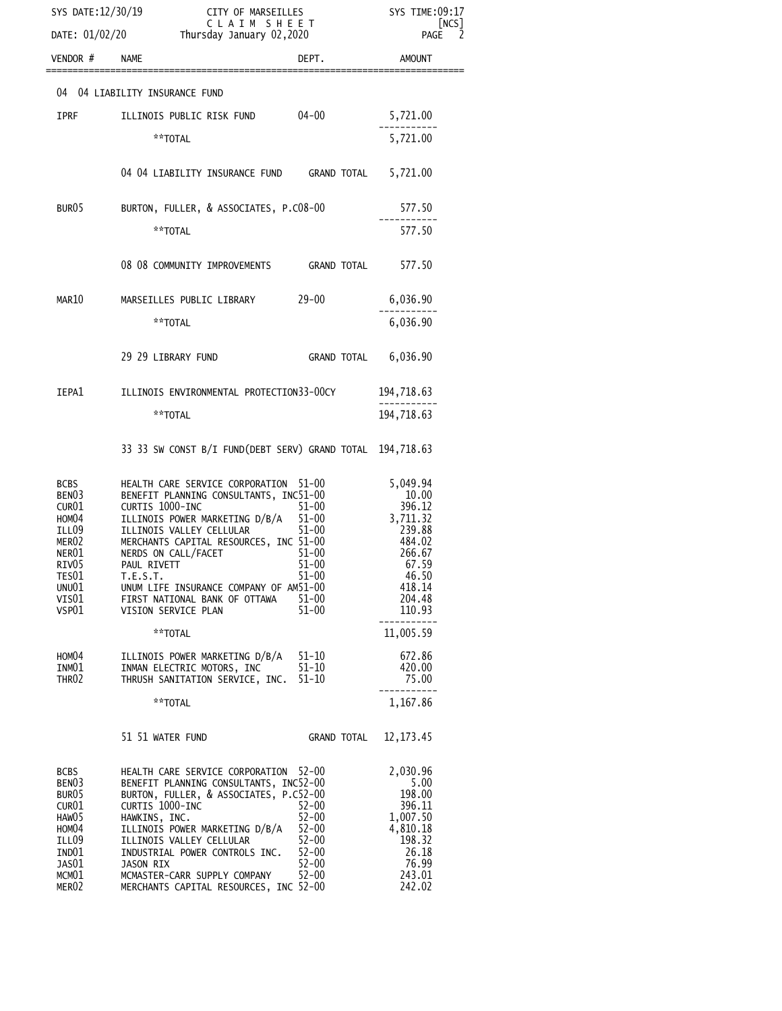| SYS DATE: 12/30/19<br>CITY OF MARSEILLES<br>CLAIM SHEET                                                                                                                       |                                                                                                                                                                                                                                                                                                                                                                |                                                                                                      | SYS TIME:09:17<br>[NCS]                                                                                               |  |
|-------------------------------------------------------------------------------------------------------------------------------------------------------------------------------|----------------------------------------------------------------------------------------------------------------------------------------------------------------------------------------------------------------------------------------------------------------------------------------------------------------------------------------------------------------|------------------------------------------------------------------------------------------------------|-----------------------------------------------------------------------------------------------------------------------|--|
|                                                                                                                                                                               | DATE: 01/02/20 Thursday January 02,2020                                                                                                                                                                                                                                                                                                                        |                                                                                                      |                                                                                                                       |  |
| VENDOR # NAME                                                                                                                                                                 |                                                                                                                                                                                                                                                                                                                                                                | DEPT.                                                                                                | AMOUNT                                                                                                                |  |
|                                                                                                                                                                               | 04 04 LIABILITY INSURANCE FUND                                                                                                                                                                                                                                                                                                                                 |                                                                                                      |                                                                                                                       |  |
| <b>IPRF</b>                                                                                                                                                                   | ILLINOIS PUBLIC RISK FUND 04-00                                                                                                                                                                                                                                                                                                                                |                                                                                                      | 5,721.00                                                                                                              |  |
|                                                                                                                                                                               | **TOTAL                                                                                                                                                                                                                                                                                                                                                        |                                                                                                      | 5,721.00                                                                                                              |  |
|                                                                                                                                                                               | 04 04 LIABILITY INSURANCE FUND GRAND TOTAL 5,721.00                                                                                                                                                                                                                                                                                                            |                                                                                                      |                                                                                                                       |  |
| BUR <sub>05</sub>                                                                                                                                                             | BURTON, FULLER, & ASSOCIATES, P.C08-00                                                                                                                                                                                                                                                                                                                         |                                                                                                      | 577.50                                                                                                                |  |
|                                                                                                                                                                               | **TOTAL                                                                                                                                                                                                                                                                                                                                                        |                                                                                                      | 577.50                                                                                                                |  |
|                                                                                                                                                                               | 08 08 COMMUNITY IMPROVEMENTS GRAND TOTAL                                                                                                                                                                                                                                                                                                                       |                                                                                                      | 577.50                                                                                                                |  |
| MAR10                                                                                                                                                                         | MARSEILLES PUBLIC LIBRARY 29-00                                                                                                                                                                                                                                                                                                                                |                                                                                                      | 6,036.90                                                                                                              |  |
|                                                                                                                                                                               | **TOTAL                                                                                                                                                                                                                                                                                                                                                        |                                                                                                      | 6,036.90                                                                                                              |  |
|                                                                                                                                                                               | 29 29 LIBRARY FUND                                                                                                                                                                                                                                                                                                                                             | GRAND TOTAL 6,036.90                                                                                 |                                                                                                                       |  |
| IEPA1                                                                                                                                                                         | ILLINOIS ENVIRONMENTAL PROTECTION33-00CY                                                                                                                                                                                                                                                                                                                       |                                                                                                      | 194,718.63                                                                                                            |  |
|                                                                                                                                                                               | **TOTAL                                                                                                                                                                                                                                                                                                                                                        |                                                                                                      | 194,718.63                                                                                                            |  |
|                                                                                                                                                                               | 33 33 SW CONST B/I FUND(DEBT SERV) GRAND TOTAL 194,718.63                                                                                                                                                                                                                                                                                                      |                                                                                                      |                                                                                                                       |  |
| <b>BCBS</b><br>BENO3<br>CUR01<br>HOM04<br>ILL09<br>MER02<br>NER01<br>RIV05<br>TES01<br>UNU01<br>VIS01<br>VSP01                                                                | HEALTH CARE SERVICE CORPORATION<br>BENEFIT PLANNING CONSULTANTS, INC51-00<br>CURTIS 1000-INC<br>ILLINOIS POWER MARKETING D/B/A 51-00<br>ILLINOIS VALLEY CELLULAR<br>MERCHANTS CAPITAL RESOURCES, INC 51-00<br>NERDS ON CALL/FACET<br>PAUL RIVETT<br>T.E.S.T.<br>UNUM LIFE INSURANCE COMPANY OF AM51-00<br>FIRST NATIONAL BANK OF OTTAWA<br>VISION SERVICE PLAN | 51–00<br>$51 - 00$<br>$51-00$<br>$51 - 00$<br>$51 - 00$<br>$51 - 00$<br>$51 - 00$<br>$51 - 00$       | 5,049.94<br>10.00<br>396.12<br>3,711.32<br>239.88<br>484.02<br>266.67<br>67.59<br>46.50<br>418.14<br>204.48<br>110.93 |  |
|                                                                                                                                                                               | **TOTAL                                                                                                                                                                                                                                                                                                                                                        |                                                                                                      | 11,005.59                                                                                                             |  |
| HOM04<br>INM01<br>THR <sub>02</sub>                                                                                                                                           | ILLINOIS POWER MARKETING D/B/A<br>INMAN ELECTRIC MOTORS, INC<br>THRUSH SANITATION SERVICE, INC.                                                                                                                                                                                                                                                                | $51 - 10$<br>$51 - 10$<br>$51 - 10$                                                                  | 672.86<br>420.00<br>75.00                                                                                             |  |
|                                                                                                                                                                               | **TOTAL                                                                                                                                                                                                                                                                                                                                                        |                                                                                                      | 1,167.86                                                                                                              |  |
|                                                                                                                                                                               | 51 51 WATER FUND                                                                                                                                                                                                                                                                                                                                               | GRAND TOTAL                                                                                          | 12, 173. 45                                                                                                           |  |
| <b>BCBS</b><br>BEN <sub>03</sub><br>BUR <sub>05</sub><br>CUR01<br>HAW <sub>05</sub><br>HOM <sub>04</sub><br>ILL09<br>IND01<br>JAS01<br>MCM <sub>01</sub><br>MER <sub>02</sub> | HEALTH CARE SERVICE CORPORATION<br>BENEFIT PLANNING CONSULTANTS, INC52-00<br>BURTON, FULLER, & ASSOCIATES, P.C52-00<br>CURTIS 1000-INC<br>HAWKINS, INC.<br>ILLINOIS POWER MARKETING D/B/A<br>ILLINOIS VALLEY CELLULAR<br>INDUSTRIAL POWER CONTROLS INC.<br>JASON RIX<br>MCMASTER-CARR SUPPLY COMPANY<br>MERCHANTS CAPITAL RESOURCES, INC 52-00                 | $52 - 00$<br>$52 - 00$<br>$52 - 00$<br>$52 - 00$<br>$52 - 00$<br>$52 - 00$<br>$52 - 00$<br>$52 - 00$ | 2,030.96<br>5.00<br>198.00<br>396.11<br>1,007.50<br>4,810.18<br>198.32<br>26.18<br>76.99<br>243.01<br>242.02          |  |